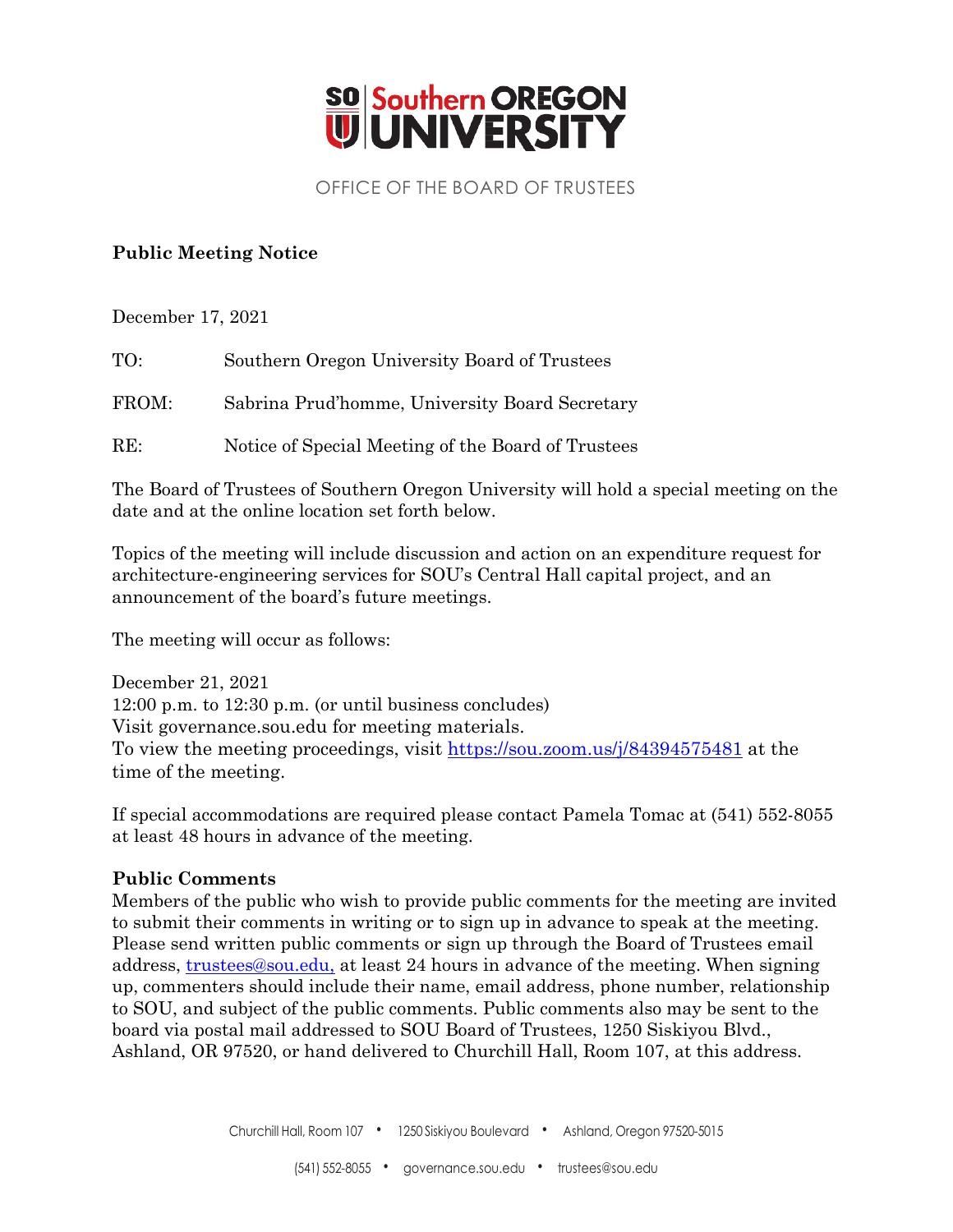

#### OFFICE OF THE BOARD OF TRUSTEES

#### **Public Meeting Notice**

December 17, 2021

| TO:   | Southern Oregon University Board of Trustees       |
|-------|----------------------------------------------------|
| FROM: | Sabrina Prud'homme, University Board Secretary     |
| RE:   | Notice of Special Meeting of the Board of Trustees |

The Board of Trustees of Southern Oregon University will hold a special meeting on the date and at the online location set forth below.

Topics of the meeting will include discussion and action on an expenditure request for architecture-engineering services for SOU's Central Hall capital project, and an announcement of the board's future meetings.

The meeting will occur as follows:

December 21, 2021 12:00 p.m. to 12:30 p.m. (or until business concludes) Visit governance.sou.edu for meeting materials. To view the meeting proceedings, visit<https://sou.zoom.us/j/84394575481> at the time of the meeting.

If special accommodations are required please contact Pamela Tomac at (541) 552-8055 at least 48 hours in advance of the meeting.

#### **Public Comments**

Members of the public who wish to provide public comments for the meeting are invited to submit their comments in writing or to sign up in advance to speak at the meeting. Please send written public comments or sign up through the Board of Trustees email address, [trustees@sou.edu,](mailto:trustees@sou.edu) at least 24 hours in advance of the meeting. When signing up, commenters should include their name, email address, phone number, relationship to SOU, and subject of the public comments. Public comments also may be sent to the board via postal mail addressed to SOU Board of Trustees, 1250 Siskiyou Blvd., Ashland, OR 97520, or hand delivered to Churchill Hall, Room 107, at this address.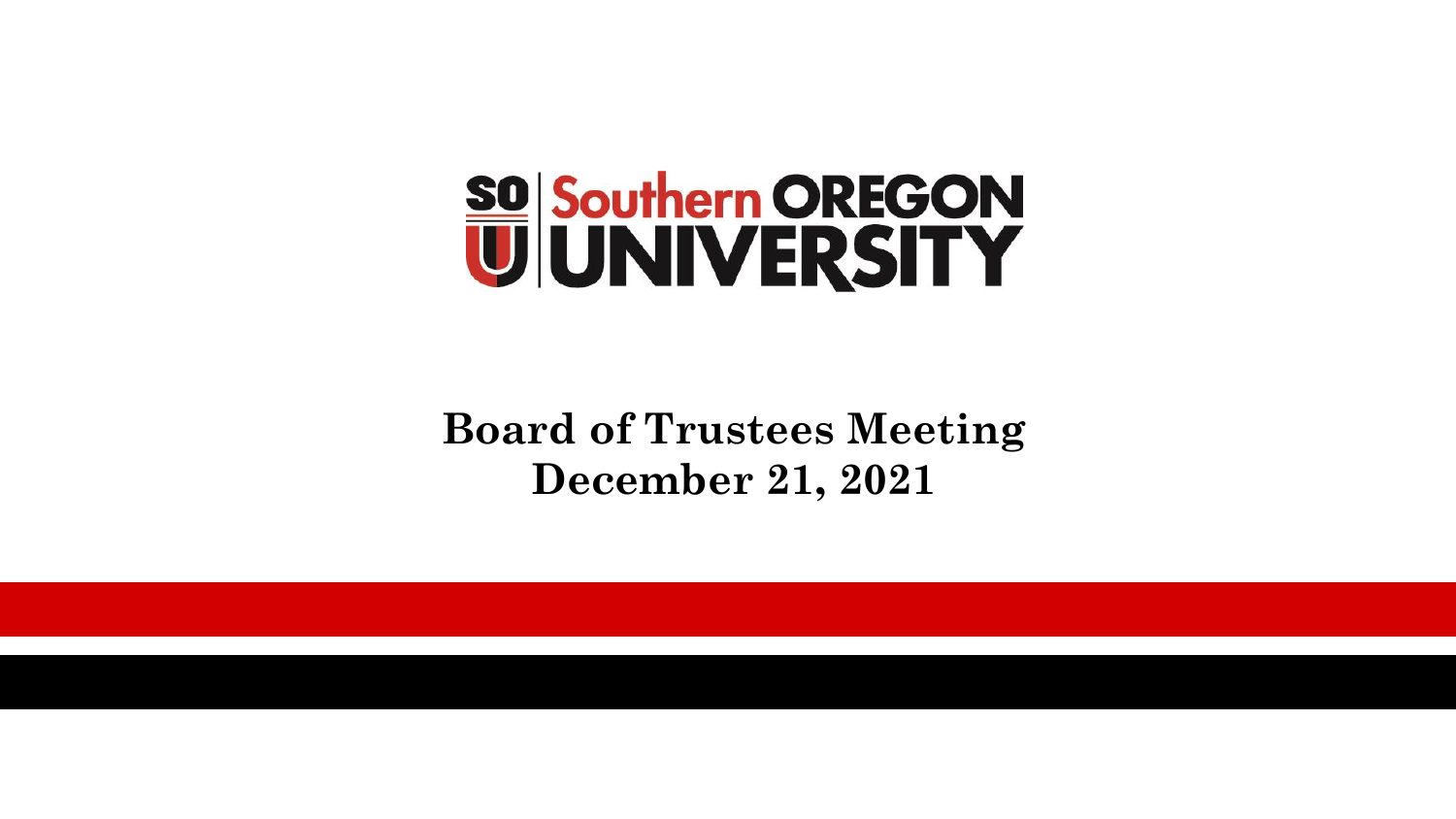

**Board of Trustees Meeting December 21, 2021**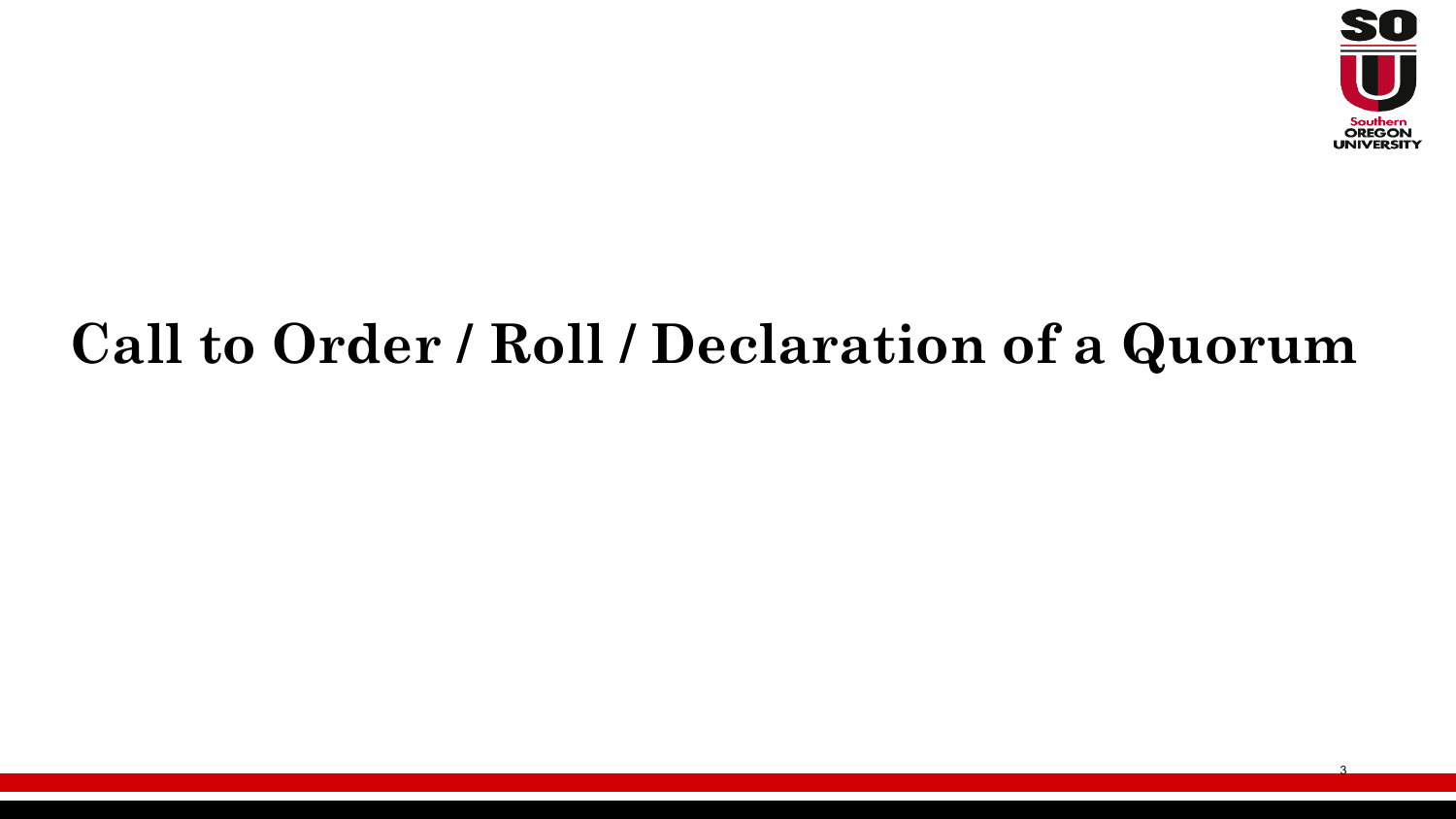

3

# **Call to Order / Roll / Declaration of a Quorum**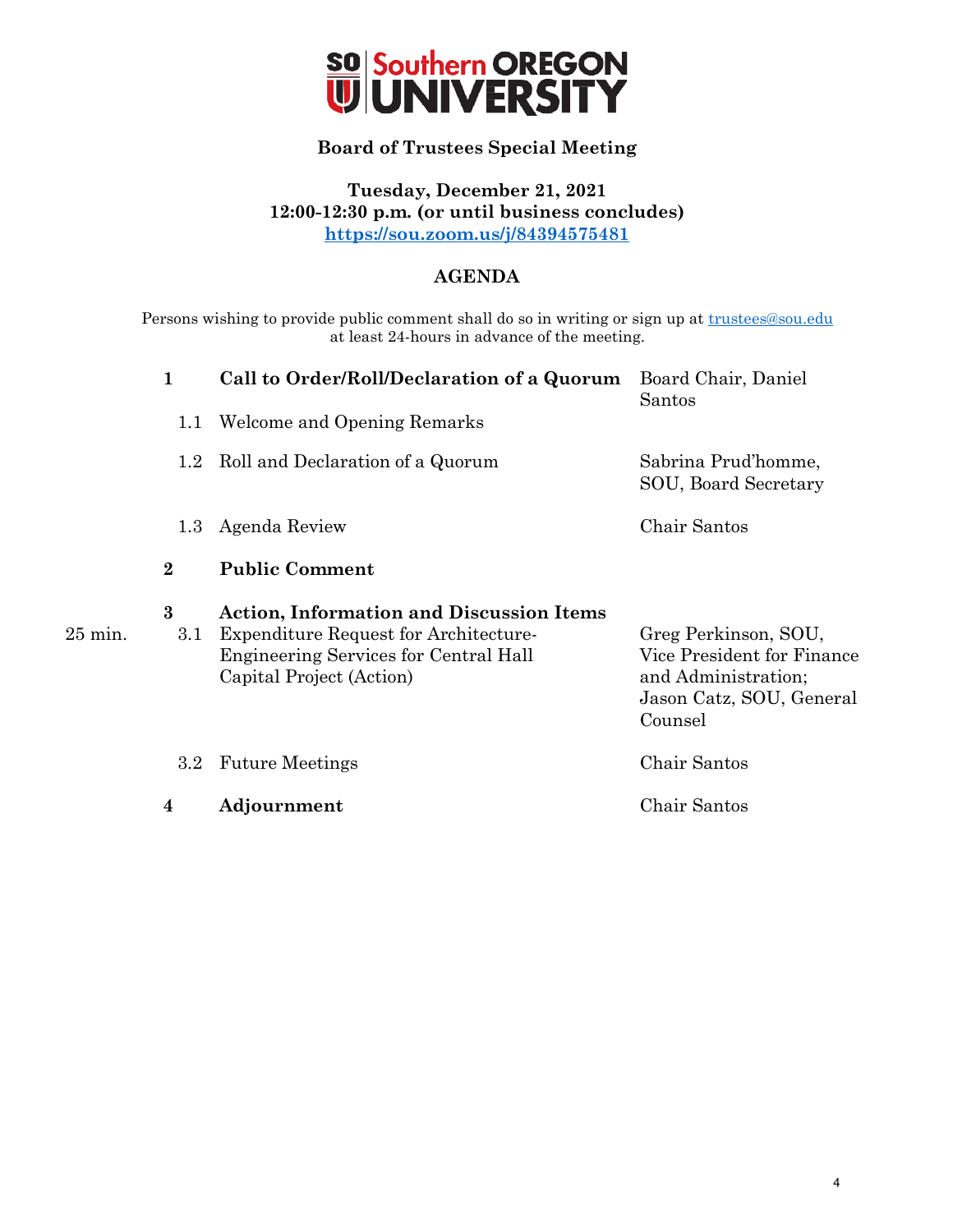

#### **Board of Trustees Special Meeting**

**Tuesday, December 21, 2021 12:00-12:30 p.m. (or until business concludes) <https://sou.zoom.us/j/84394575481>**

#### **AGENDA**

Persons wishing to provide public comment shall do so in writing or sign up at [trustees@sou.edu](mailto:trustees@sou.edu) at least 24-hours in advance of the meeting.

| $\mathbf{1}$    | Call to Order/Roll/Declaration of a Quorum                                                                                                                                  | Board Chair, Daniel<br>Santos                                                                                    |
|-----------------|-----------------------------------------------------------------------------------------------------------------------------------------------------------------------------|------------------------------------------------------------------------------------------------------------------|
| 1.1             | Welcome and Opening Remarks                                                                                                                                                 |                                                                                                                  |
|                 | 1.2 Roll and Declaration of a Quorum                                                                                                                                        | Sabrina Prud'homme,<br>SOU, Board Secretary                                                                      |
| 1.3             | Agenda Review                                                                                                                                                               | Chair Santos                                                                                                     |
| $\bf{2}$        | <b>Public Comment</b>                                                                                                                                                       |                                                                                                                  |
| $\bf{3}$<br>3.1 | <b>Action, Information and Discussion Items</b><br><b>Expenditure Request for Architecture-</b><br><b>Engineering Services for Central Hall</b><br>Capital Project (Action) | Greg Perkinson, SOU,<br>Vice President for Finance<br>and Administration;<br>Jason Catz, SOU, General<br>Counsel |
| $3.2\,$         | <b>Future Meetings</b>                                                                                                                                                      | Chair Santos                                                                                                     |
| 4               | Adjournment                                                                                                                                                                 | Chair Santos                                                                                                     |

 $25$  min.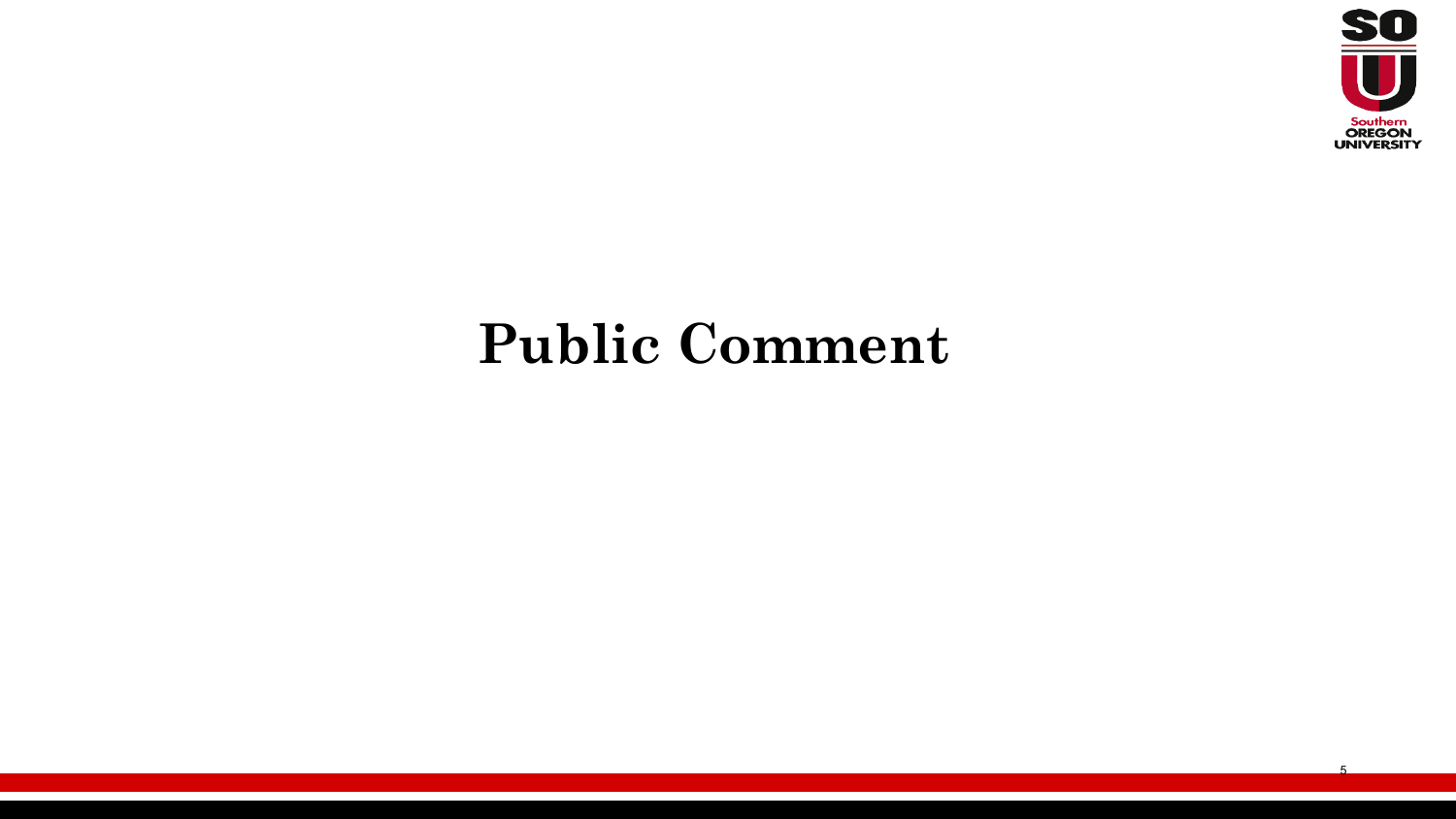

### **Public Comment**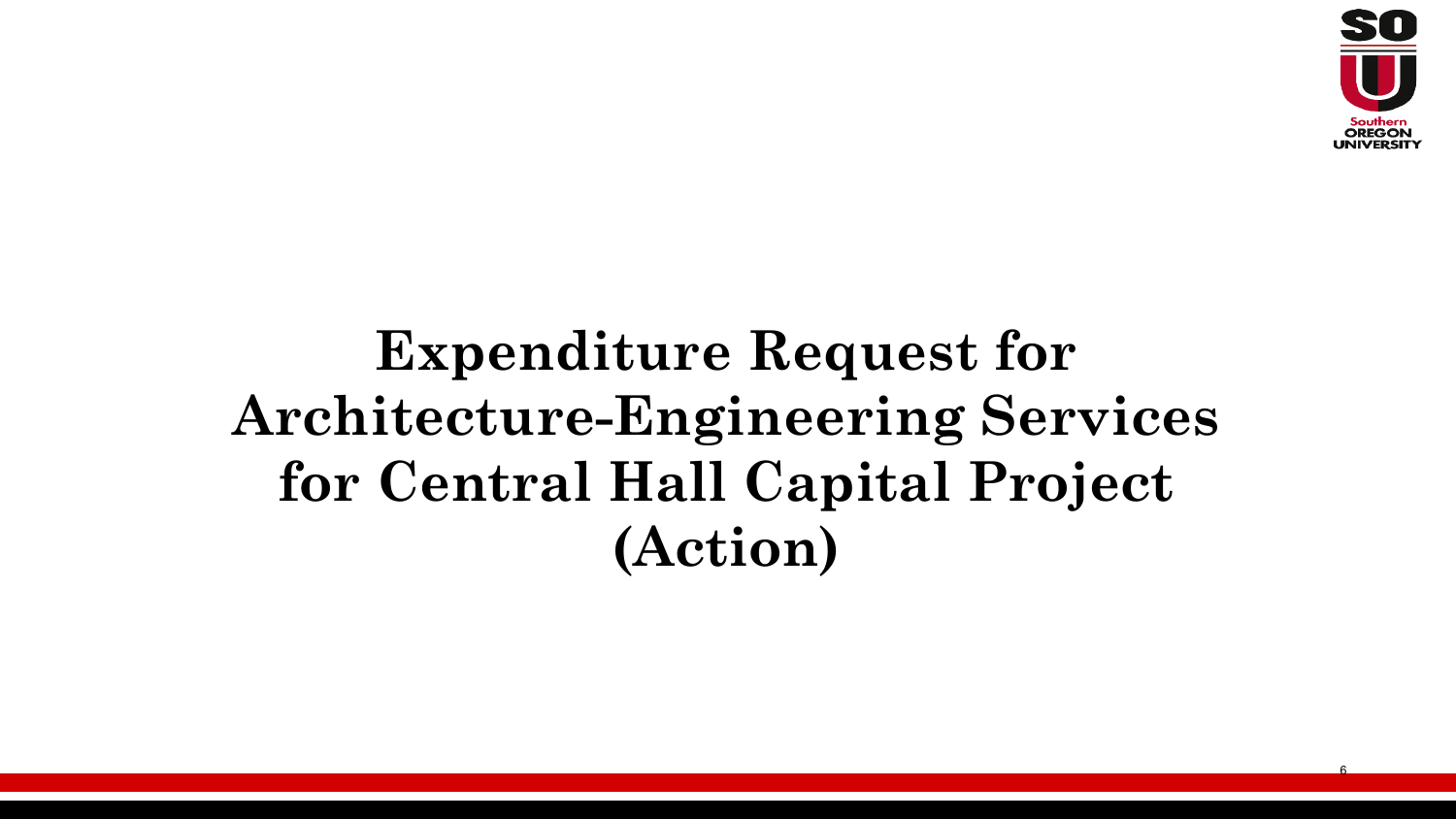

# **Expenditure Request for Architecture-Engineering Services for Central Hall Capital Project (Action)**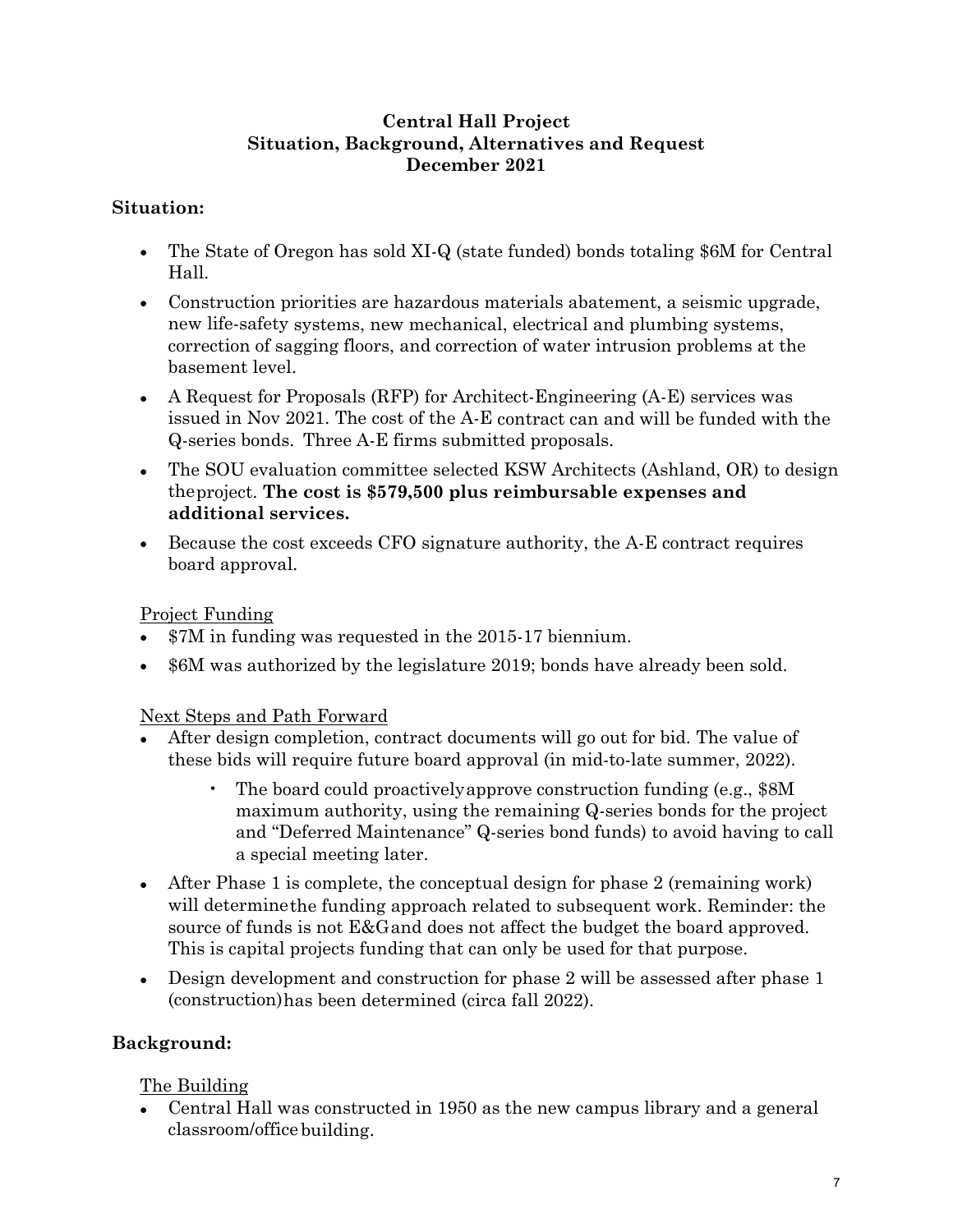#### **Central Hall Project Situation, Background, Alternatives and Request December 2021**

#### **Situation:**

- The State of Oregon has sold XI-Q (state funded) bonds totaling \$6M for Central Hall.
- Construction priorities are hazardous materials abatement, a seismic upgrade, new life-safety systems, new mechanical, electrical and plumbing systems, correction of sagging floors, and correction of water intrusion problems at the basement level.
- A Request for Proposals (RFP) for Architect-Engineering  $(A-E)$  services was issued in Nov 2021. The cost of the A-E contract can and will be funded with the Q-series bonds. Three A-E firms submitted proposals.
- The SOU evaluation committee selected KSW Architects (Ashland, OR) to design theproject. **The cost is \$579,500 plus reimbursable expenses and additional services.**
- Because the cost exceeds CFO signature authority, the A-E contract requires board approval.

#### Project Funding

- \$7M in funding was requested in the 2015-17 biennium.
- \$6M was authorized by the legislature 2019; bonds have already been sold.

#### Next Steps and Path Forward

- After design completion, contract documents will go out for bid. The value of these bids will require future board approval (in mid-to-late summer, 2022).
	- The board could proactivelyapprove construction funding (e.g., \$8M maximum authority, using the remaining Q-series bonds for the project and "Deferred Maintenance" Q-series bond funds) to avoid having to call a special meeting later.
- After Phase 1 is complete, the conceptual design for phase 2 (remaining work) will determinethe funding approach related to subsequent work. Reminder: the source of funds is not E&Gand does not affect the budget the board approved. This is capital projects funding that can only be used for that purpose.
- Design development and construction for phase 2 will be assessed after phase 1 (construction)has been determined (circa fall 2022).

#### **Background:**

#### The Building

• Central Hall was constructed in 1950 as the new campus library and a general classroom/office building.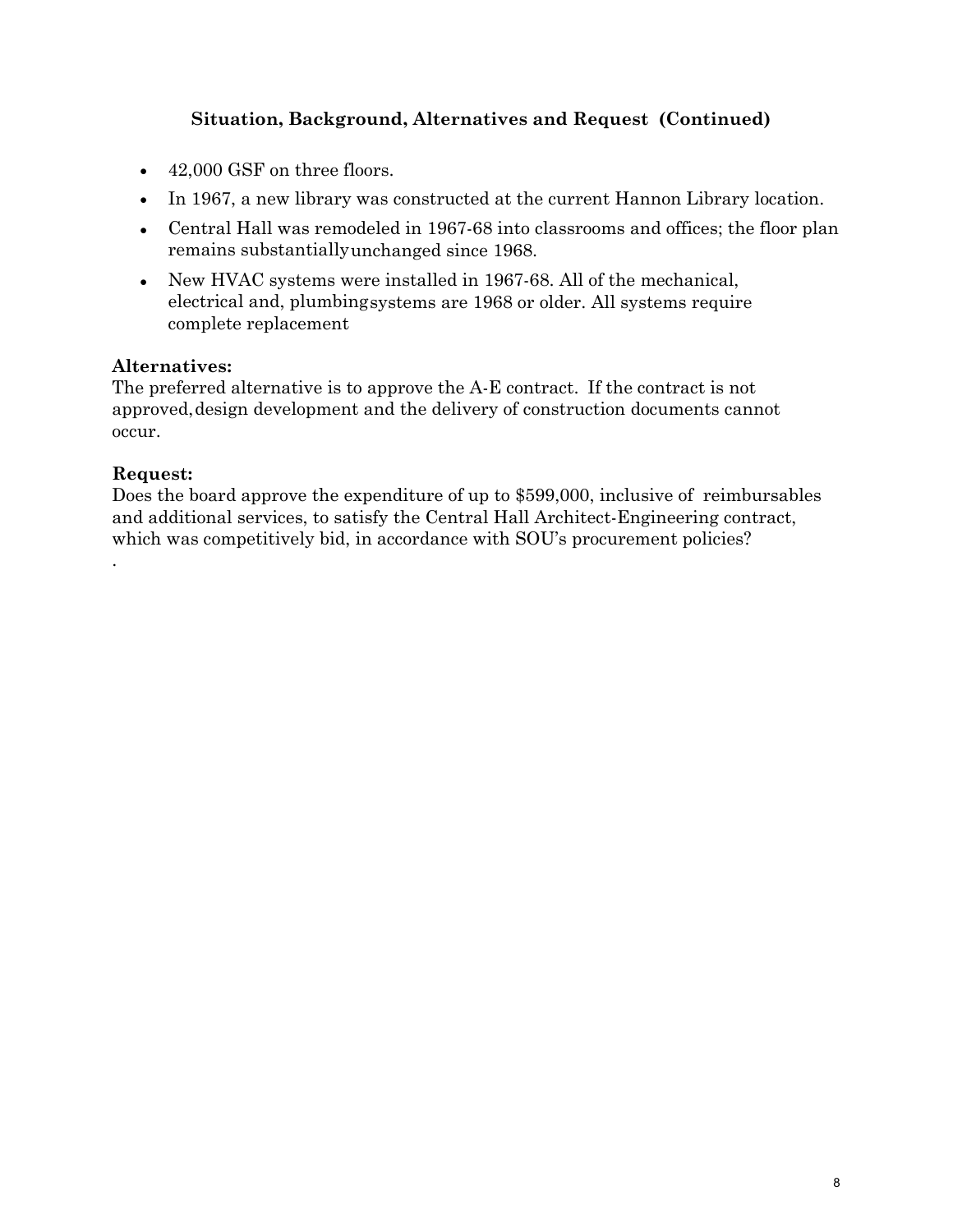#### **Situation, Background, Alternatives and Request (Continued)**

- 42,000 GSF on three floors.
- In 1967, a new library was constructed at the current Hannon Library location.
- Central Hall was remodeled in 1967-68 into classrooms and offices; the floor plan remains substantiallyunchanged since 1968.
- New HVAC systems were installed in 1967-68. All of the mechanical, electrical and, plumbingsystems are 1968 or older. All systems require complete replacement

#### **Alternatives:**

The preferred alternative is to approve the A-E contract. If the contract is not approved,design development and the delivery of construction documents cannot occur.

#### **Request:**

.

Does the board approve the expenditure of up to \$599,000, inclusive of reimbursables and additional services, to satisfy the Central Hall Architect-Engineering contract, which was competitively bid, in accordance with SOU's procurement policies?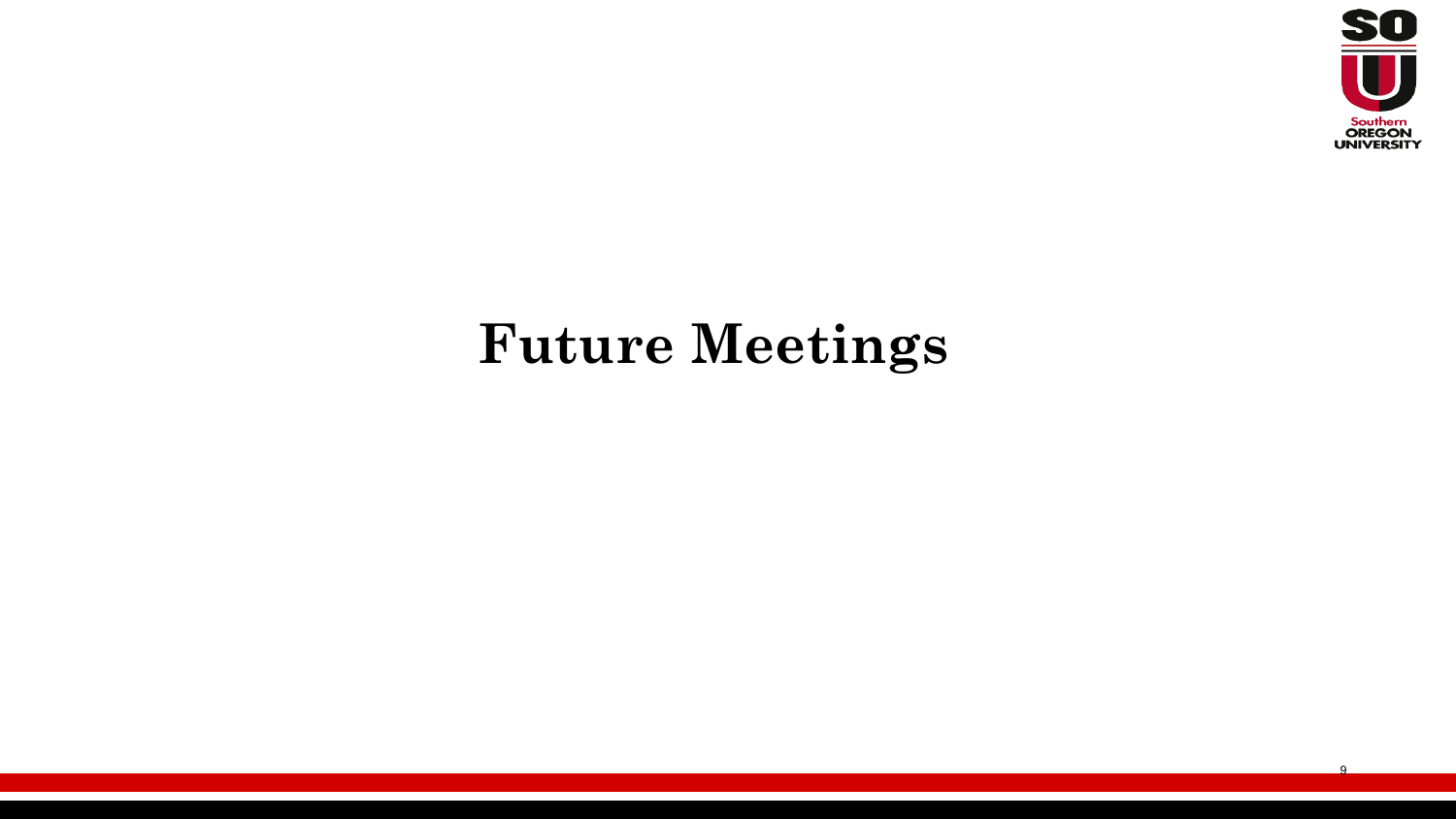

9

### **Future Meetings**